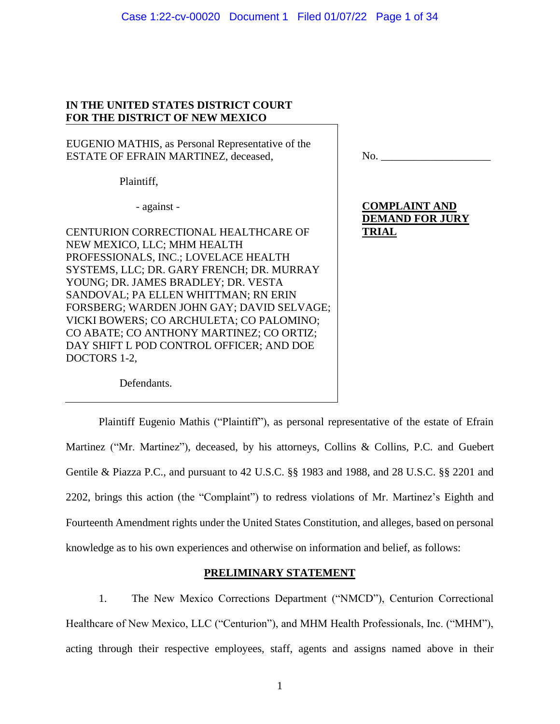# Case 1:22-cv-00020 Document 1 Filed 01/07/22 Page 1 of 34

# **IN THE UNITED STATES DISTRICT COURT FOR THE DISTRICT OF NEW MEXICO**

EUGENIO MATHIS, as Personal Representative of the ESTATE OF EFRAIN MARTINEZ, deceased,

Plaintiff,

- against -

CENTURION CORRECTIONAL HEALTHCARE OF NEW MEXICO, LLC; MHM HEALTH PROFESSIONALS, INC.; LOVELACE HEALTH SYSTEMS, LLC; DR. GARY FRENCH; DR. MURRAY YOUNG; DR. JAMES BRADLEY; DR. VESTA SANDOVAL; PA ELLEN WHITTMAN; RN ERIN FORSBERG; WARDEN JOHN GAY; DAVID SELVAGE; VICKI BOWERS; CO ARCHULETA; CO PALOMINO; CO ABATE; CO ANTHONY MARTINEZ; CO ORTIZ; DAY SHIFT L POD CONTROL OFFICER; AND DOE DOCTORS 1-2,

Defendants.

 $\rm No.$   $\_$ 

# **COMPLAINT AND DEMAND FOR JURY TRIAL**

Plaintiff Eugenio Mathis ("Plaintiff"), as personal representative of the estate of Efrain Martinez ("Mr. Martinez"), deceased, by his attorneys, Collins & Collins, P.C. and Guebert Gentile & Piazza P.C., and pursuant to 42 U.S.C. §§ 1983 and 1988, and 28 U.S.C. §§ 2201 and 2202, brings this action (the "Complaint") to redress violations of Mr. Martinez's Eighth and Fourteenth Amendment rights under the United States Constitution, and alleges, based on personal knowledge as to his own experiences and otherwise on information and belief, as follows:

# **PRELIMINARY STATEMENT**

1. The New Mexico Corrections Department ("NMCD"), Centurion Correctional Healthcare of New Mexico, LLC ("Centurion"), and MHM Health Professionals, Inc. ("MHM"), acting through their respective employees, staff, agents and assigns named above in their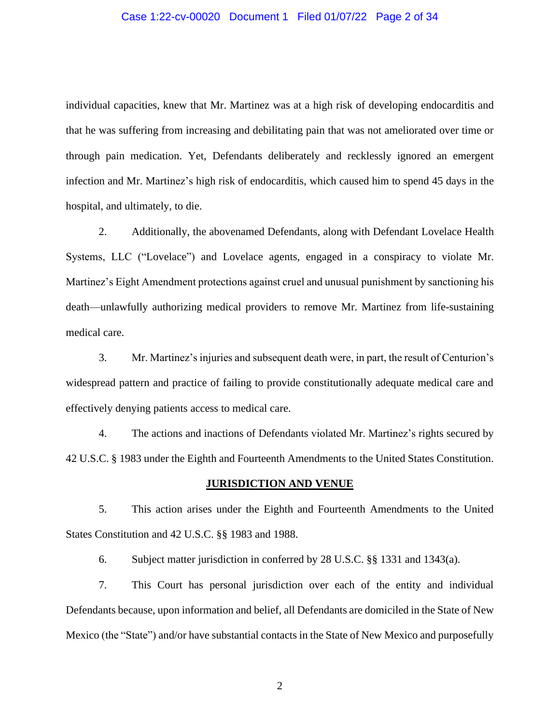### Case 1:22-cv-00020 Document 1 Filed 01/07/22 Page 2 of 34

individual capacities, knew that Mr. Martinez was at a high risk of developing endocarditis and that he was suffering from increasing and debilitating pain that was not ameliorated over time or through pain medication. Yet, Defendants deliberately and recklessly ignored an emergent infection and Mr. Martinez's high risk of endocarditis, which caused him to spend 45 days in the hospital, and ultimately, to die.

2. Additionally, the abovenamed Defendants, along with Defendant Lovelace Health Systems, LLC ("Lovelace") and Lovelace agents, engaged in a conspiracy to violate Mr. Martinez's Eight Amendment protections against cruel and unusual punishment by sanctioning his death—unlawfully authorizing medical providers to remove Mr. Martinez from life-sustaining medical care.

3. Mr. Martinez's injuries and subsequent death were, in part, the result of Centurion's widespread pattern and practice of failing to provide constitutionally adequate medical care and effectively denying patients access to medical care.

4. The actions and inactions of Defendants violated Mr. Martinez's rights secured by 42 U.S.C. § 1983 under the Eighth and Fourteenth Amendments to the United States Constitution.

#### **JURISDICTION AND VENUE**

5. This action arises under the Eighth and Fourteenth Amendments to the United States Constitution and 42 U.S.C. §§ 1983 and 1988.

6. Subject matter jurisdiction in conferred by 28 U.S.C. §§ 1331 and 1343(a).

7. This Court has personal jurisdiction over each of the entity and individual Defendants because, upon information and belief, all Defendants are domiciled in the State of New Mexico (the "State") and/or have substantial contacts in the State of New Mexico and purposefully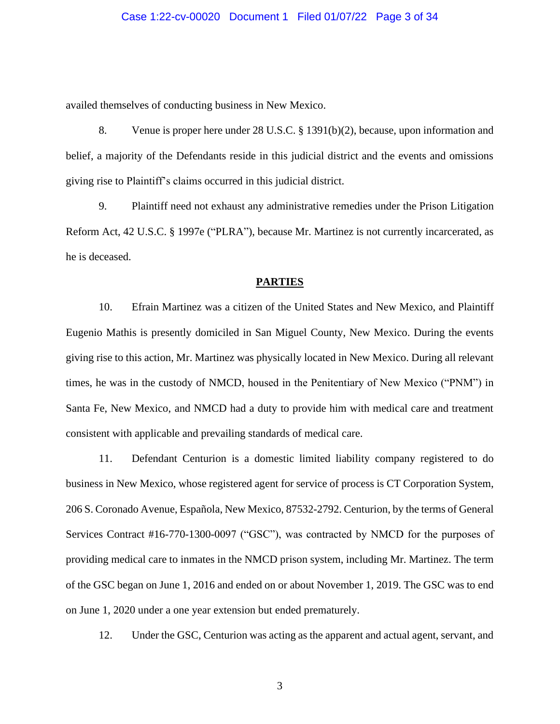### Case 1:22-cv-00020 Document 1 Filed 01/07/22 Page 3 of 34

availed themselves of conducting business in New Mexico.

8. Venue is proper here under 28 U.S.C. § 1391(b)(2), because, upon information and belief, a majority of the Defendants reside in this judicial district and the events and omissions giving rise to Plaintiff's claims occurred in this judicial district.

9. Plaintiff need not exhaust any administrative remedies under the Prison Litigation Reform Act, 42 U.S.C. § 1997e ("PLRA"), because Mr. Martinez is not currently incarcerated, as he is deceased.

# **PARTIES**

10. Efrain Martinez was a citizen of the United States and New Mexico, and Plaintiff Eugenio Mathis is presently domiciled in San Miguel County, New Mexico. During the events giving rise to this action, Mr. Martinez was physically located in New Mexico. During all relevant times, he was in the custody of NMCD, housed in the Penitentiary of New Mexico ("PNM") in Santa Fe, New Mexico, and NMCD had a duty to provide him with medical care and treatment consistent with applicable and prevailing standards of medical care.

11. Defendant Centurion is a domestic limited liability company registered to do business in New Mexico, whose registered agent for service of process is CT Corporation System, 206 S. Coronado Avenue, Española, New Mexico, 87532-2792. Centurion, by the terms of General Services Contract #16-770-1300-0097 ("GSC"), was contracted by NMCD for the purposes of providing medical care to inmates in the NMCD prison system, including Mr. Martinez. The term of the GSC began on June 1, 2016 and ended on or about November 1, 2019. The GSC was to end on June 1, 2020 under a one year extension but ended prematurely.

12. Under the GSC, Centurion was acting as the apparent and actual agent, servant, and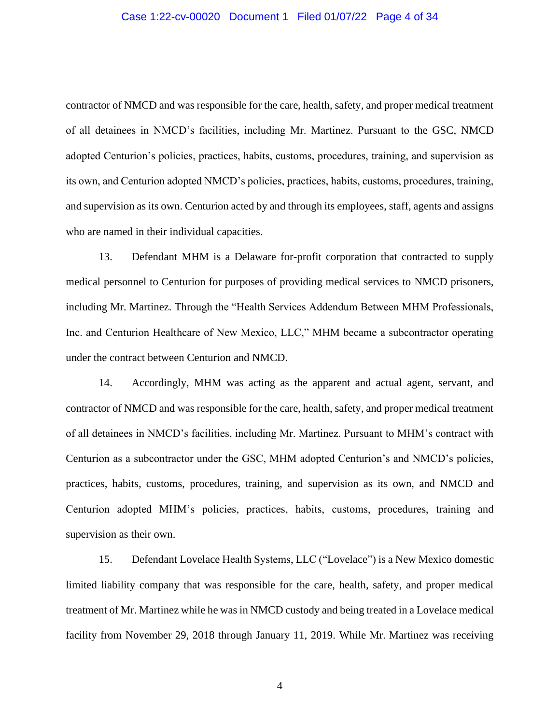## Case 1:22-cv-00020 Document 1 Filed 01/07/22 Page 4 of 34

contractor of NMCD and was responsible for the care, health, safety, and proper medical treatment of all detainees in NMCD's facilities, including Mr. Martinez. Pursuant to the GSC, NMCD adopted Centurion's policies, practices, habits, customs, procedures, training, and supervision as its own, and Centurion adopted NMCD's policies, practices, habits, customs, procedures, training, and supervision as its own. Centurion acted by and through its employees, staff, agents and assigns who are named in their individual capacities.

13. Defendant MHM is a Delaware for-profit corporation that contracted to supply medical personnel to Centurion for purposes of providing medical services to NMCD prisoners, including Mr. Martinez. Through the "Health Services Addendum Between MHM Professionals, Inc. and Centurion Healthcare of New Mexico, LLC," MHM became a subcontractor operating under the contract between Centurion and NMCD.

14. Accordingly, MHM was acting as the apparent and actual agent, servant, and contractor of NMCD and was responsible for the care, health, safety, and proper medical treatment of all detainees in NMCD's facilities, including Mr. Martinez. Pursuant to MHM's contract with Centurion as a subcontractor under the GSC, MHM adopted Centurion's and NMCD's policies, practices, habits, customs, procedures, training, and supervision as its own, and NMCD and Centurion adopted MHM's policies, practices, habits, customs, procedures, training and supervision as their own.

15. Defendant Lovelace Health Systems, LLC ("Lovelace") is a New Mexico domestic limited liability company that was responsible for the care, health, safety, and proper medical treatment of Mr. Martinez while he was in NMCD custody and being treated in a Lovelace medical facility from November 29, 2018 through January 11, 2019. While Mr. Martinez was receiving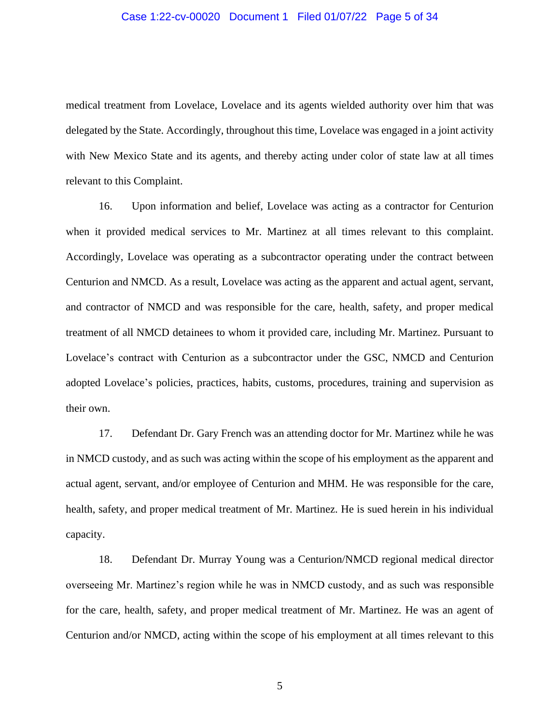## Case 1:22-cv-00020 Document 1 Filed 01/07/22 Page 5 of 34

medical treatment from Lovelace, Lovelace and its agents wielded authority over him that was delegated by the State. Accordingly, throughout this time, Lovelace was engaged in a joint activity with New Mexico State and its agents, and thereby acting under color of state law at all times relevant to this Complaint.

16. Upon information and belief, Lovelace was acting as a contractor for Centurion when it provided medical services to Mr. Martinez at all times relevant to this complaint. Accordingly, Lovelace was operating as a subcontractor operating under the contract between Centurion and NMCD. As a result, Lovelace was acting as the apparent and actual agent, servant, and contractor of NMCD and was responsible for the care, health, safety, and proper medical treatment of all NMCD detainees to whom it provided care, including Mr. Martinez. Pursuant to Lovelace's contract with Centurion as a subcontractor under the GSC, NMCD and Centurion adopted Lovelace's policies, practices, habits, customs, procedures, training and supervision as their own.

17. Defendant Dr. Gary French was an attending doctor for Mr. Martinez while he was in NMCD custody, and as such was acting within the scope of his employment as the apparent and actual agent, servant, and/or employee of Centurion and MHM. He was responsible for the care, health, safety, and proper medical treatment of Mr. Martinez. He is sued herein in his individual capacity.

18. Defendant Dr. Murray Young was a Centurion/NMCD regional medical director overseeing Mr. Martinez's region while he was in NMCD custody, and as such was responsible for the care, health, safety, and proper medical treatment of Mr. Martinez. He was an agent of Centurion and/or NMCD, acting within the scope of his employment at all times relevant to this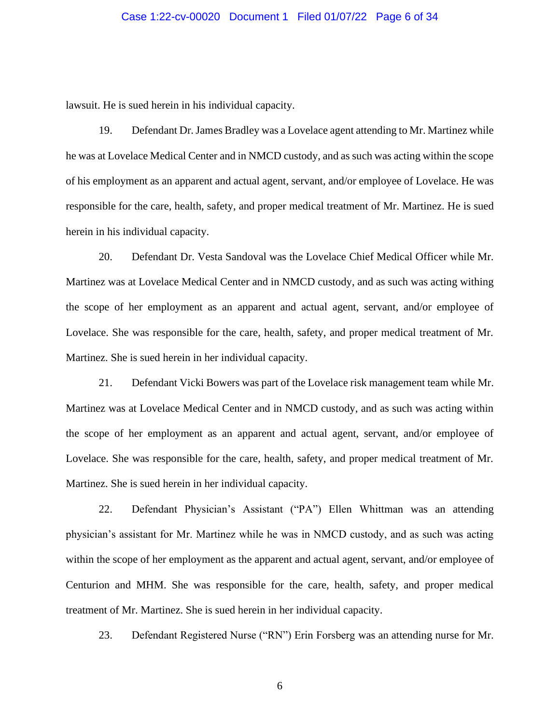# Case 1:22-cv-00020 Document 1 Filed 01/07/22 Page 6 of 34

lawsuit. He is sued herein in his individual capacity.

19. Defendant Dr. James Bradley was a Lovelace agent attending to Mr. Martinez while he was at Lovelace Medical Center and in NMCD custody, and as such was acting within the scope of his employment as an apparent and actual agent, servant, and/or employee of Lovelace. He was responsible for the care, health, safety, and proper medical treatment of Mr. Martinez. He is sued herein in his individual capacity.

20. Defendant Dr. Vesta Sandoval was the Lovelace Chief Medical Officer while Mr. Martinez was at Lovelace Medical Center and in NMCD custody, and as such was acting withing the scope of her employment as an apparent and actual agent, servant, and/or employee of Lovelace. She was responsible for the care, health, safety, and proper medical treatment of Mr. Martinez. She is sued herein in her individual capacity.

21. Defendant Vicki Bowers was part of the Lovelace risk management team while Mr. Martinez was at Lovelace Medical Center and in NMCD custody, and as such was acting within the scope of her employment as an apparent and actual agent, servant, and/or employee of Lovelace. She was responsible for the care, health, safety, and proper medical treatment of Mr. Martinez. She is sued herein in her individual capacity.

22. Defendant Physician's Assistant ("PA") Ellen Whittman was an attending physician's assistant for Mr. Martinez while he was in NMCD custody, and as such was acting within the scope of her employment as the apparent and actual agent, servant, and/or employee of Centurion and MHM. She was responsible for the care, health, safety, and proper medical treatment of Mr. Martinez. She is sued herein in her individual capacity.

23. Defendant Registered Nurse ("RN") Erin Forsberg was an attending nurse for Mr.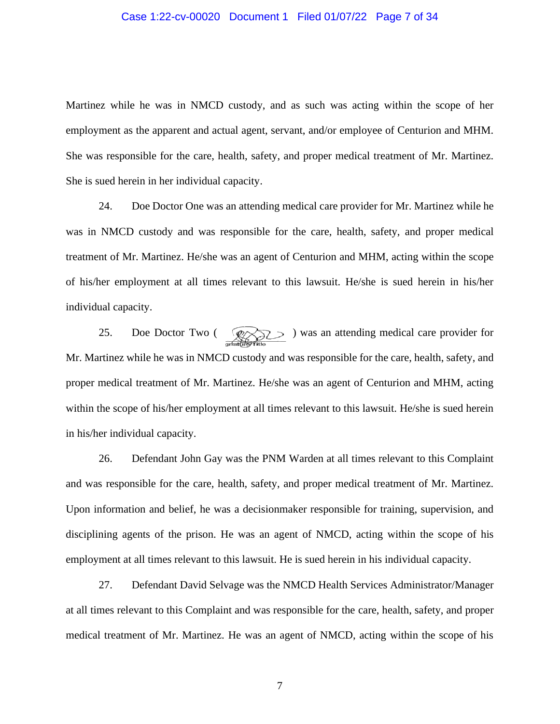## Case 1:22-cv-00020 Document 1 Filed 01/07/22 Page 7 of 34

Martinez while he was in NMCD custody, and as such was acting within the scope of her employment as the apparent and actual agent, servant, and/or employee of Centurion and MHM. She was responsible for the care, health, safety, and proper medical treatment of Mr. Martinez. She is sued herein in her individual capacity.

24. Doe Doctor One was an attending medical care provider for Mr. Martinez while he was in NMCD custody and was responsible for the care, health, safety, and proper medical treatment of Mr. Martinez. He/she was an agent of Centurion and MHM, acting within the scope of his/her employment at all times relevant to this lawsuit. He/she is sued herein in his/her individual capacity.

25. Doe Doctor Two ( $\bigotimes$ ) was an attending medical care provider for Mr. Martinez while he was in NMCD custody and was responsible for the care, health, safety, and proper medical treatment of Mr. Martinez. He/she was an agent of Centurion and MHM, acting within the scope of his/her employment at all times relevant to this lawsuit. He/she is sued herein in his/her individual capacity.

26. Defendant John Gay was the PNM Warden at all times relevant to this Complaint and was responsible for the care, health, safety, and proper medical treatment of Mr. Martinez. Upon information and belief, he was a decisionmaker responsible for training, supervision, and disciplining agents of the prison. He was an agent of NMCD, acting within the scope of his employment at all times relevant to this lawsuit. He is sued herein in his individual capacity.

27. Defendant David Selvage was the NMCD Health Services Administrator/Manager at all times relevant to this Complaint and was responsible for the care, health, safety, and proper medical treatment of Mr. Martinez. He was an agent of NMCD, acting within the scope of his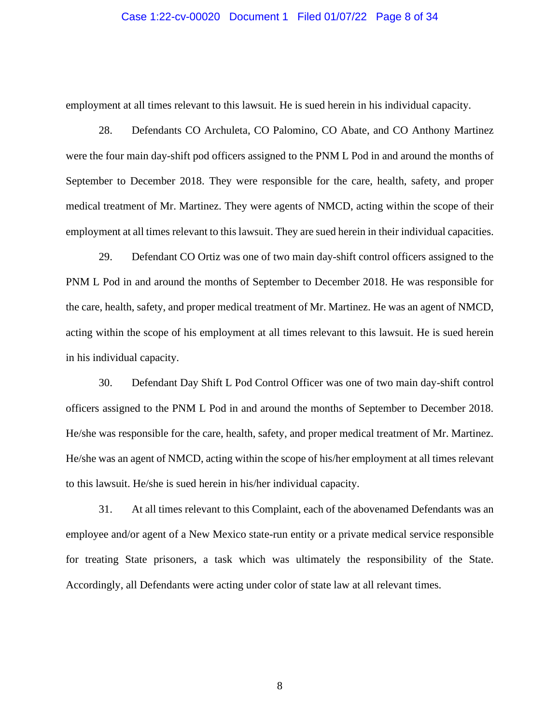#### Case 1:22-cv-00020 Document 1 Filed 01/07/22 Page 8 of 34

employment at all times relevant to this lawsuit. He is sued herein in his individual capacity.

28. Defendants CO Archuleta, CO Palomino, CO Abate, and CO Anthony Martinez were the four main day-shift pod officers assigned to the PNM L Pod in and around the months of September to December 2018. They were responsible for the care, health, safety, and proper medical treatment of Mr. Martinez. They were agents of NMCD, acting within the scope of their employment at all times relevant to this lawsuit. They are sued herein in their individual capacities.

29. Defendant CO Ortiz was one of two main day-shift control officers assigned to the PNM L Pod in and around the months of September to December 2018. He was responsible for the care, health, safety, and proper medical treatment of Mr. Martinez. He was an agent of NMCD, acting within the scope of his employment at all times relevant to this lawsuit. He is sued herein in his individual capacity.

30. Defendant Day Shift L Pod Control Officer was one of two main day-shift control officers assigned to the PNM L Pod in and around the months of September to December 2018. He/she was responsible for the care, health, safety, and proper medical treatment of Mr. Martinez. He/she was an agent of NMCD, acting within the scope of his/her employment at all times relevant to this lawsuit. He/she is sued herein in his/her individual capacity.

31. At all times relevant to this Complaint, each of the abovenamed Defendants was an employee and/or agent of a New Mexico state-run entity or a private medical service responsible for treating State prisoners, a task which was ultimately the responsibility of the State. Accordingly, all Defendants were acting under color of state law at all relevant times.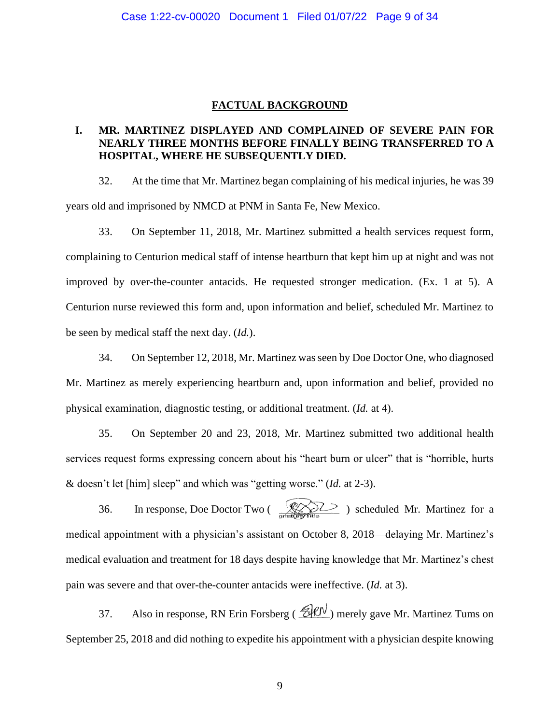# **FACTUAL BACKGROUND**

# **I. MR. MARTINEZ DISPLAYED AND COMPLAINED OF SEVERE PAIN FOR NEARLY THREE MONTHS BEFORE FINALLY BEING TRANSFERRED TO A HOSPITAL, WHERE HE SUBSEQUENTLY DIED.**

32. At the time that Mr. Martinez began complaining of his medical injuries, he was 39 years old and imprisoned by NMCD at PNM in Santa Fe, New Mexico.

33. On September 11, 2018, Mr. Martinez submitted a health services request form, complaining to Centurion medical staff of intense heartburn that kept him up at night and was not improved by over-the-counter antacids. He requested stronger medication. (Ex. 1 at 5). A Centurion nurse reviewed this form and, upon information and belief, scheduled Mr. Martinez to be seen by medical staff the next day. (*Id.*).

34. On September 12, 2018, Mr. Martinez was seen by Doe Doctor One, who diagnosed Mr. Martinez as merely experiencing heartburn and, upon information and belief, provided no physical examination, diagnostic testing, or additional treatment. (*Id.* at 4).

35. On September 20 and 23, 2018, Mr. Martinez submitted two additional health services request forms expressing concern about his "heart burn or ulcer" that is "horrible, hurts & doesn't let [him] sleep" and which was "getting worse." (*Id.* at 2-3).

36. In response, Doe Doctor Two ( $\bigotimes_{\text{order}}$ ) scheduled Mr. Martinez for a medical appointment with a physician's assistant on October 8, 2018—delaying Mr. Martinez's medical evaluation and treatment for 18 days despite having knowledge that Mr. Martinez's chest pain was severe and that over-the-counter antacids were ineffective. (*Id.* at 3).

37. Also in response, RN Erin Forsberg ( $\mathcal{B}$ RN) merely gave Mr. Martinez Tums on September 25, 2018 and did nothing to expedite his appointment with a physician despite knowing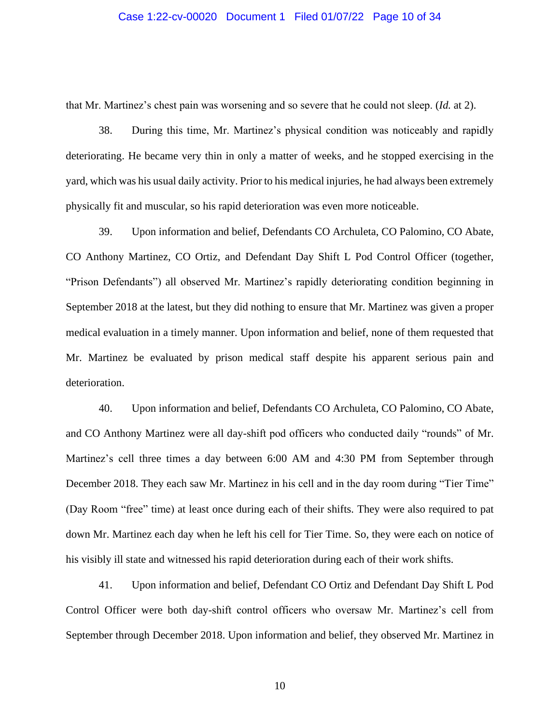## Case 1:22-cv-00020 Document 1 Filed 01/07/22 Page 10 of 34

that Mr. Martinez's chest pain was worsening and so severe that he could not sleep. (*Id.* at 2).

38. During this time, Mr. Martinez's physical condition was noticeably and rapidly deteriorating. He became very thin in only a matter of weeks, and he stopped exercising in the yard, which was his usual daily activity. Prior to his medical injuries, he had always been extremely physically fit and muscular, so his rapid deterioration was even more noticeable.

39. Upon information and belief, Defendants CO Archuleta, CO Palomino, CO Abate, CO Anthony Martinez, CO Ortiz, and Defendant Day Shift L Pod Control Officer (together, "Prison Defendants") all observed Mr. Martinez's rapidly deteriorating condition beginning in September 2018 at the latest, but they did nothing to ensure that Mr. Martinez was given a proper medical evaluation in a timely manner. Upon information and belief, none of them requested that Mr. Martinez be evaluated by prison medical staff despite his apparent serious pain and deterioration.

40. Upon information and belief, Defendants CO Archuleta, CO Palomino, CO Abate, and CO Anthony Martinez were all day-shift pod officers who conducted daily "rounds" of Mr. Martinez's cell three times a day between 6:00 AM and 4:30 PM from September through December 2018. They each saw Mr. Martinez in his cell and in the day room during "Tier Time" (Day Room "free" time) at least once during each of their shifts. They were also required to pat down Mr. Martinez each day when he left his cell for Tier Time. So, they were each on notice of his visibly ill state and witnessed his rapid deterioration during each of their work shifts.

41. Upon information and belief, Defendant CO Ortiz and Defendant Day Shift L Pod Control Officer were both day-shift control officers who oversaw Mr. Martinez's cell from September through December 2018. Upon information and belief, they observed Mr. Martinez in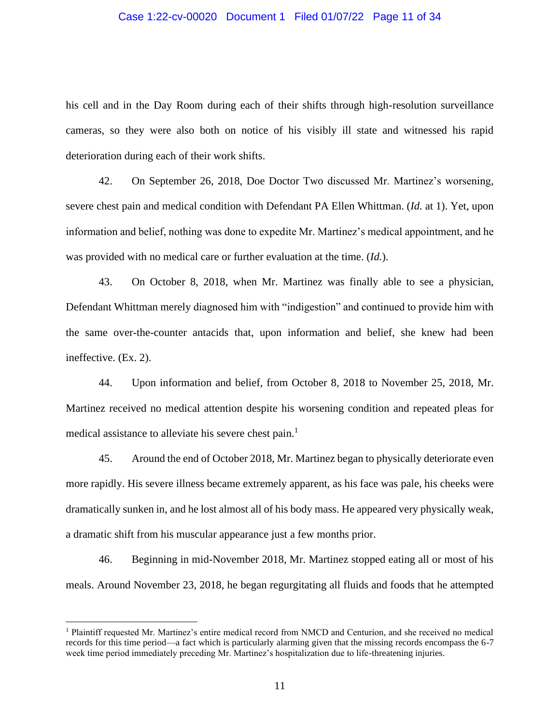# Case 1:22-cv-00020 Document 1 Filed 01/07/22 Page 11 of 34

his cell and in the Day Room during each of their shifts through high-resolution surveillance cameras, so they were also both on notice of his visibly ill state and witnessed his rapid deterioration during each of their work shifts.

42. On September 26, 2018, Doe Doctor Two discussed Mr. Martinez's worsening, severe chest pain and medical condition with Defendant PA Ellen Whittman. (*Id.* at 1). Yet, upon information and belief, nothing was done to expedite Mr. Martinez's medical appointment, and he was provided with no medical care or further evaluation at the time. (*Id.*).

43. On October 8, 2018, when Mr. Martinez was finally able to see a physician, Defendant Whittman merely diagnosed him with "indigestion" and continued to provide him with the same over-the-counter antacids that, upon information and belief, she knew had been ineffective. (Ex. 2).

44. Upon information and belief, from October 8, 2018 to November 25, 2018, Mr. Martinez received no medical attention despite his worsening condition and repeated pleas for medical assistance to alleviate his severe chest pain.<sup>1</sup>

45. Around the end of October 2018, Mr. Martinez began to physically deteriorate even more rapidly. His severe illness became extremely apparent, as his face was pale, his cheeks were dramatically sunken in, and he lost almost all of his body mass. He appeared very physically weak, a dramatic shift from his muscular appearance just a few months prior.

46. Beginning in mid-November 2018, Mr. Martinez stopped eating all or most of his meals. Around November 23, 2018, he began regurgitating all fluids and foods that he attempted

<sup>1</sup> Plaintiff requested Mr. Martinez's entire medical record from NMCD and Centurion, and she received no medical records for this time period—a fact which is particularly alarming given that the missing records encompass the 6-7 week time period immediately preceding Mr. Martinez's hospitalization due to life-threatening injuries.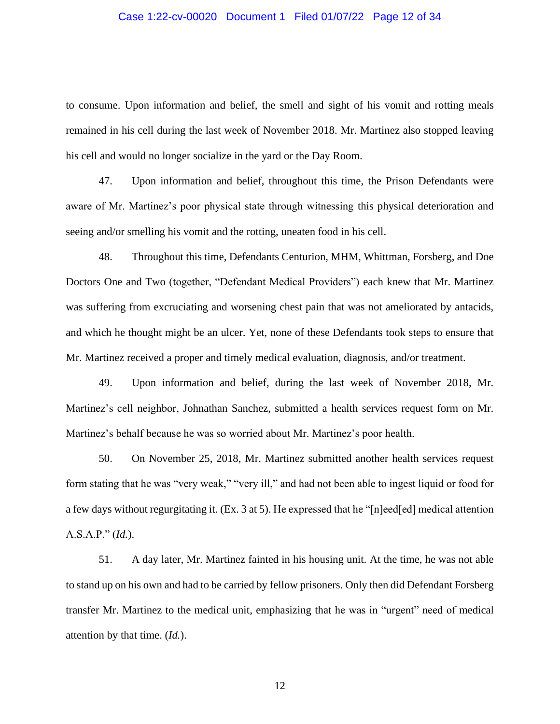# Case 1:22-cv-00020 Document 1 Filed 01/07/22 Page 12 of 34

to consume. Upon information and belief, the smell and sight of his vomit and rotting meals remained in his cell during the last week of November 2018. Mr. Martinez also stopped leaving his cell and would no longer socialize in the yard or the Day Room.

47. Upon information and belief, throughout this time, the Prison Defendants were aware of Mr. Martinez's poor physical state through witnessing this physical deterioration and seeing and/or smelling his vomit and the rotting, uneaten food in his cell.

48. Throughout this time, Defendants Centurion, MHM, Whittman, Forsberg, and Doe Doctors One and Two (together, "Defendant Medical Providers") each knew that Mr. Martinez was suffering from excruciating and worsening chest pain that was not ameliorated by antacids, and which he thought might be an ulcer. Yet, none of these Defendants took steps to ensure that Mr. Martinez received a proper and timely medical evaluation, diagnosis, and/or treatment.

49. Upon information and belief, during the last week of November 2018, Mr. Martinez's cell neighbor, Johnathan Sanchez, submitted a health services request form on Mr. Martinez's behalf because he was so worried about Mr. Martinez's poor health.

50. On November 25, 2018, Mr. Martinez submitted another health services request form stating that he was "very weak," "very ill," and had not been able to ingest liquid or food for a few days without regurgitating it. (Ex. 3 at 5). He expressed that he "[n]eed[ed] medical attention A.S.A.P." (*Id.*).

51. A day later, Mr. Martinez fainted in his housing unit. At the time, he was not able to stand up on his own and had to be carried by fellow prisoners. Only then did Defendant Forsberg transfer Mr. Martinez to the medical unit, emphasizing that he was in "urgent" need of medical attention by that time. (*Id.*).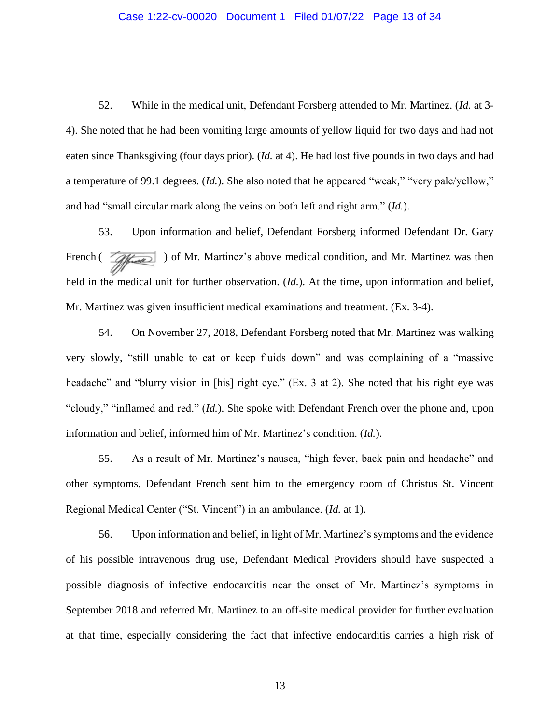## Case 1:22-cv-00020 Document 1 Filed 01/07/22 Page 13 of 34

52. While in the medical unit, Defendant Forsberg attended to Mr. Martinez. (*Id.* at 3- 4). She noted that he had been vomiting large amounts of yellow liquid for two days and had not eaten since Thanksgiving (four days prior). (*Id.* at 4). He had lost five pounds in two days and had a temperature of 99.1 degrees. (*Id.*). She also noted that he appeared "weak," "very pale/yellow," and had "small circular mark along the veins on both left and right arm." (*Id.*).

53. Upon information and belief, Defendant Forsberg informed Defendant Dr. Gary French ( $\sqrt{q}$ ) of Mr. Martinez's above medical condition, and Mr. Martinez was then held in the medical unit for further observation. (*Id.*). At the time, upon information and belief, Mr. Martinez was given insufficient medical examinations and treatment. (Ex. 3-4).

54. On November 27, 2018, Defendant Forsberg noted that Mr. Martinez was walking very slowly, "still unable to eat or keep fluids down" and was complaining of a "massive headache" and "blurry vision in [his] right eye." (Ex. 3 at 2). She noted that his right eye was "cloudy," "inflamed and red." (*Id.*). She spoke with Defendant French over the phone and, upon information and belief, informed him of Mr. Martinez's condition. (*Id.*).

55. As a result of Mr. Martinez's nausea, "high fever, back pain and headache" and other symptoms, Defendant French sent him to the emergency room of Christus St. Vincent Regional Medical Center ("St. Vincent") in an ambulance. (*Id.* at 1).

56. Upon information and belief, in light of Mr. Martinez's symptoms and the evidence of his possible intravenous drug use, Defendant Medical Providers should have suspected a possible diagnosis of infective endocarditis near the onset of Mr. Martinez's symptoms in September 2018 and referred Mr. Martinez to an off-site medical provider for further evaluation at that time, especially considering the fact that infective endocarditis carries a high risk of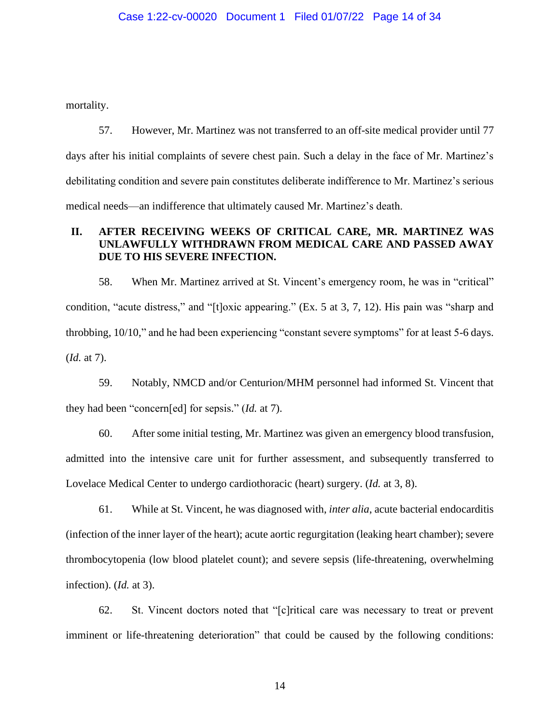mortality.

57. However, Mr. Martinez was not transferred to an off-site medical provider until 77 days after his initial complaints of severe chest pain. Such a delay in the face of Mr. Martinez's debilitating condition and severe pain constitutes deliberate indifference to Mr. Martinez's serious medical needs—an indifference that ultimately caused Mr. Martinez's death.

# **II. AFTER RECEIVING WEEKS OF CRITICAL CARE, MR. MARTINEZ WAS UNLAWFULLY WITHDRAWN FROM MEDICAL CARE AND PASSED AWAY DUE TO HIS SEVERE INFECTION.**

58. When Mr. Martinez arrived at St. Vincent's emergency room, he was in "critical" condition, "acute distress," and "[t]oxic appearing." (Ex. 5 at 3, 7, 12). His pain was "sharp and throbbing, 10/10," and he had been experiencing "constant severe symptoms" for at least 5-6 days. (*Id.* at 7).

59. Notably, NMCD and/or Centurion/MHM personnel had informed St. Vincent that they had been "concern[ed] for sepsis." (*Id.* at 7).

60. After some initial testing, Mr. Martinez was given an emergency blood transfusion, admitted into the intensive care unit for further assessment, and subsequently transferred to Lovelace Medical Center to undergo cardiothoracic (heart) surgery. (*Id.* at 3, 8).

61. While at St. Vincent, he was diagnosed with, *inter alia*, acute bacterial endocarditis (infection of the inner layer of the heart); acute aortic regurgitation (leaking heart chamber); severe thrombocytopenia (low blood platelet count); and severe sepsis (life-threatening, overwhelming infection). (*Id.* at 3).

62. St. Vincent doctors noted that "[c]ritical care was necessary to treat or prevent imminent or life-threatening deterioration" that could be caused by the following conditions: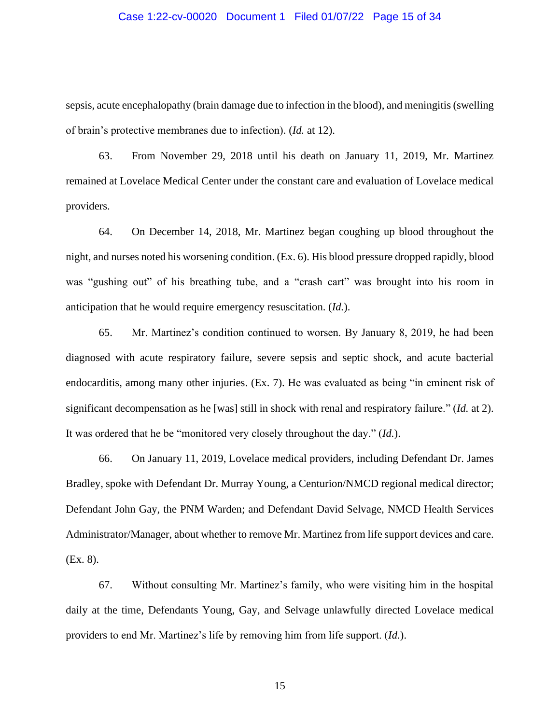## Case 1:22-cv-00020 Document 1 Filed 01/07/22 Page 15 of 34

sepsis, acute encephalopathy (brain damage due to infection in the blood), and meningitis (swelling of brain's protective membranes due to infection). (*Id.* at 12).

63. From November 29, 2018 until his death on January 11, 2019, Mr. Martinez remained at Lovelace Medical Center under the constant care and evaluation of Lovelace medical providers.

64. On December 14, 2018, Mr. Martinez began coughing up blood throughout the night, and nurses noted his worsening condition. (Ex. 6). His blood pressure dropped rapidly, blood was "gushing out" of his breathing tube, and a "crash cart" was brought into his room in anticipation that he would require emergency resuscitation. (*Id.*).

65. Mr. Martinez's condition continued to worsen. By January 8, 2019, he had been diagnosed with acute respiratory failure, severe sepsis and septic shock, and acute bacterial endocarditis, among many other injuries. (Ex. 7). He was evaluated as being "in eminent risk of significant decompensation as he [was] still in shock with renal and respiratory failure." (*Id.* at 2). It was ordered that he be "monitored very closely throughout the day." (*Id.*).

66. On January 11, 2019, Lovelace medical providers, including Defendant Dr. James Bradley, spoke with Defendant Dr. Murray Young, a Centurion/NMCD regional medical director; Defendant John Gay, the PNM Warden; and Defendant David Selvage, NMCD Health Services Administrator/Manager, about whether to remove Mr. Martinez from life support devices and care. (Ex. 8).

67. Without consulting Mr. Martinez's family, who were visiting him in the hospital daily at the time, Defendants Young, Gay, and Selvage unlawfully directed Lovelace medical providers to end Mr. Martinez's life by removing him from life support. (*Id.*).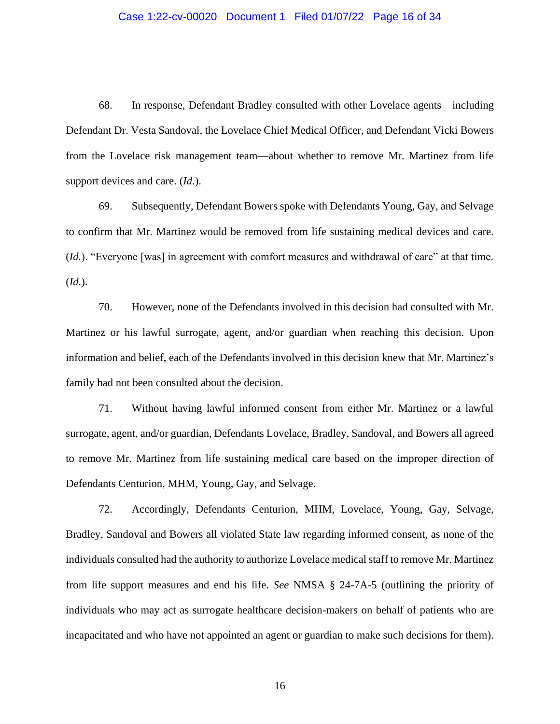# Case 1:22-cv-00020 Document 1 Filed 01/07/22 Page 16 of 34

68. In response, Defendant Bradley consulted with other Lovelace agents—including Defendant Dr. Vesta Sandoval, the Lovelace Chief Medical Officer, and Defendant Vicki Bowers from the Lovelace risk management team—about whether to remove Mr. Martinez from life support devices and care. (*Id.*).

69. Subsequently, Defendant Bowers spoke with Defendants Young, Gay, and Selvage to confirm that Mr. Martinez would be removed from life sustaining medical devices and care. (*Id.*). "Everyone [was] in agreement with comfort measures and withdrawal of care" at that time. (*Id.*).

70. However, none of the Defendants involved in this decision had consulted with Mr. Martinez or his lawful surrogate, agent, and/or guardian when reaching this decision. Upon information and belief, each of the Defendants involved in this decision knew that Mr. Martinez's family had not been consulted about the decision.

71. Without having lawful informed consent from either Mr. Martinez or a lawful surrogate, agent, and/or guardian, Defendants Lovelace, Bradley, Sandoval, and Bowers all agreed to remove Mr. Martinez from life sustaining medical care based on the improper direction of Defendants Centurion, MHM, Young, Gay, and Selvage.

72. Accordingly, Defendants Centurion, MHM, Lovelace, Young, Gay, Selvage, Bradley, Sandoval and Bowers all violated State law regarding informed consent, as none of the individuals consulted had the authority to authorize Lovelace medical staff to remove Mr. Martinez from life support measures and end his life. *See* NMSA § 24-7A-5 (outlining the priority of individuals who may act as surrogate healthcare decision-makers on behalf of patients who are incapacitated and who have not appointed an agent or guardian to make such decisions for them).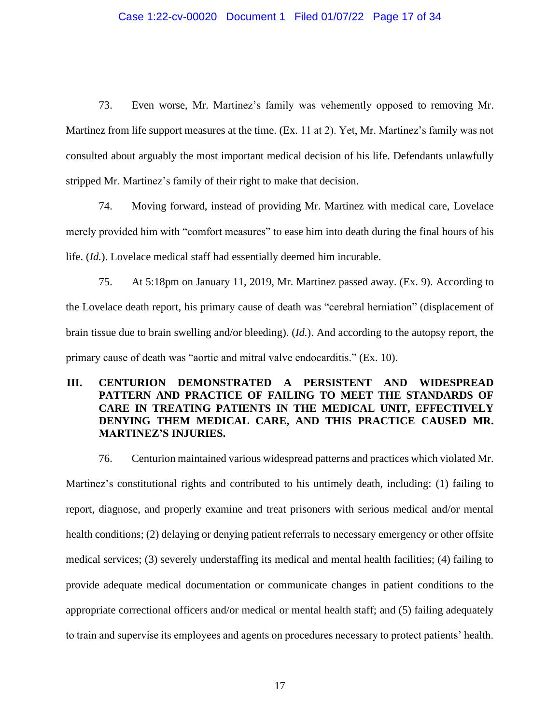# Case 1:22-cv-00020 Document 1 Filed 01/07/22 Page 17 of 34

73. Even worse, Mr. Martinez's family was vehemently opposed to removing Mr. Martinez from life support measures at the time. (Ex. 11 at 2). Yet, Mr. Martinez's family was not consulted about arguably the most important medical decision of his life. Defendants unlawfully stripped Mr. Martinez's family of their right to make that decision.

74. Moving forward, instead of providing Mr. Martinez with medical care, Lovelace merely provided him with "comfort measures" to ease him into death during the final hours of his life. (*Id.*). Lovelace medical staff had essentially deemed him incurable.

75. At 5:18pm on January 11, 2019, Mr. Martinez passed away. (Ex. 9). According to the Lovelace death report, his primary cause of death was "cerebral herniation" (displacement of brain tissue due to brain swelling and/or bleeding). (*Id.*). And according to the autopsy report, the primary cause of death was "aortic and mitral valve endocarditis." (Ex. 10).

# **III. CENTURION DEMONSTRATED A PERSISTENT AND WIDESPREAD PATTERN AND PRACTICE OF FAILING TO MEET THE STANDARDS OF CARE IN TREATING PATIENTS IN THE MEDICAL UNIT, EFFECTIVELY DENYING THEM MEDICAL CARE, AND THIS PRACTICE CAUSED MR. MARTINEZ'S INJURIES.**

76. Centurion maintained various widespread patterns and practices which violated Mr. Martinez's constitutional rights and contributed to his untimely death, including: (1) failing to report, diagnose, and properly examine and treat prisoners with serious medical and/or mental health conditions; (2) delaying or denying patient referrals to necessary emergency or other offsite medical services; (3) severely understaffing its medical and mental health facilities; (4) failing to provide adequate medical documentation or communicate changes in patient conditions to the appropriate correctional officers and/or medical or mental health staff; and (5) failing adequately to train and supervise its employees and agents on procedures necessary to protect patients' health.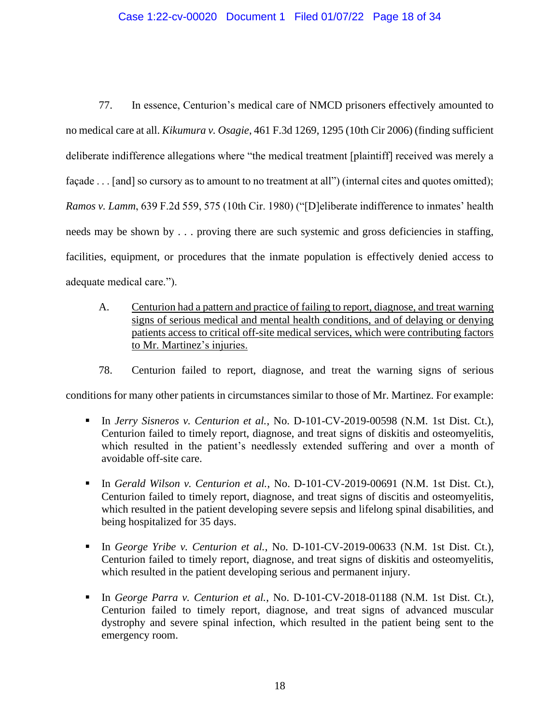# Case 1:22-cv-00020 Document 1 Filed 01/07/22 Page 18 of 34

77. In essence, Centurion's medical care of NMCD prisoners effectively amounted to no medical care at all. *Kikumura v. Osagie*, 461 F.3d 1269, 1295 (10th Cir 2006) (finding sufficient deliberate indifference allegations where "the medical treatment [plaintiff] received was merely a façade . . . [and] so cursory as to amount to no treatment at all") (internal cites and quotes omitted); *Ramos v. Lamm*, 639 F.2d 559, 575 (10th Cir. 1980) ("[D]eliberate indifference to inmates' health needs may be shown by . . . proving there are such systemic and gross deficiencies in staffing, facilities, equipment, or procedures that the inmate population is effectively denied access to adequate medical care.").

- A. Centurion had a pattern and practice of failing to report, diagnose, and treat warning signs of serious medical and mental health conditions, and of delaying or denying patients access to critical off-site medical services, which were contributing factors to Mr. Martinez's injuries.
- 78. Centurion failed to report, diagnose, and treat the warning signs of serious

conditions for many other patients in circumstances similar to those of Mr. Martinez. For example:

- In *Jerry Sisneros v. Centurion et al.*, No. D-101-CV-2019-00598 (N.M. 1st Dist. Ct.), Centurion failed to timely report, diagnose, and treat signs of diskitis and osteomyelitis, which resulted in the patient's needlessly extended suffering and over a month of avoidable off-site care.
- In *Gerald Wilson v. Centurion et al.*, No. D-101-CV-2019-00691 (N.M. 1st Dist. Ct.), Centurion failed to timely report, diagnose, and treat signs of discitis and osteomyelitis, which resulted in the patient developing severe sepsis and lifelong spinal disabilities, and being hospitalized for 35 days.
- In *George Yribe v. Centurion et al.*, No. D-101-CV-2019-00633 (N.M. 1st Dist. Ct.), Centurion failed to timely report, diagnose, and treat signs of diskitis and osteomyelitis, which resulted in the patient developing serious and permanent injury.
- In *George Parra v. Centurion et al.*, No. D-101-CV-2018-01188 (N.M. 1st Dist. Ct.), Centurion failed to timely report, diagnose, and treat signs of advanced muscular dystrophy and severe spinal infection, which resulted in the patient being sent to the emergency room.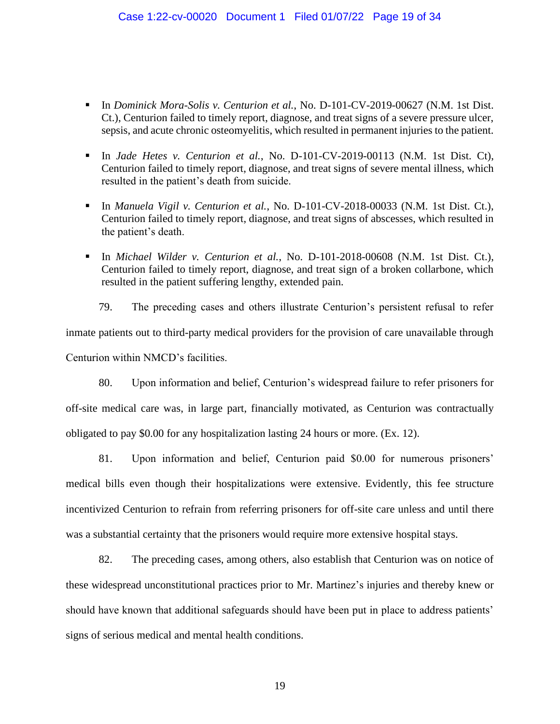- In *Dominick Mora-Solis v. Centurion et al.*, No. D-101-CV-2019-00627 (N.M. 1st Dist. Ct.), Centurion failed to timely report, diagnose, and treat signs of a severe pressure ulcer, sepsis, and acute chronic osteomyelitis, which resulted in permanent injuries to the patient.
- In *Jade Hetes v. Centurion et al.*, No. D-101-CV-2019-00113 (N.M. 1st Dist. Ct), Centurion failed to timely report, diagnose, and treat signs of severe mental illness, which resulted in the patient's death from suicide.
- In *Manuela Vigil v. Centurion et al.*, No. D-101-CV-2018-00033 (N.M. 1st Dist. Ct.), Centurion failed to timely report, diagnose, and treat signs of abscesses, which resulted in the patient's death.
- In *Michael Wilder v. Centurion et al.*, No. D-101-2018-00608 (N.M. 1st Dist. Ct.), Centurion failed to timely report, diagnose, and treat sign of a broken collarbone, which resulted in the patient suffering lengthy, extended pain.

79. The preceding cases and others illustrate Centurion's persistent refusal to refer inmate patients out to third-party medical providers for the provision of care unavailable through Centurion within NMCD's facilities.

80. Upon information and belief, Centurion's widespread failure to refer prisoners for off-site medical care was, in large part, financially motivated, as Centurion was contractually obligated to pay \$0.00 for any hospitalization lasting 24 hours or more. (Ex. 12).

81. Upon information and belief, Centurion paid \$0.00 for numerous prisoners' medical bills even though their hospitalizations were extensive. Evidently, this fee structure incentivized Centurion to refrain from referring prisoners for off-site care unless and until there was a substantial certainty that the prisoners would require more extensive hospital stays.

82. The preceding cases, among others, also establish that Centurion was on notice of these widespread unconstitutional practices prior to Mr. Martinez's injuries and thereby knew or should have known that additional safeguards should have been put in place to address patients' signs of serious medical and mental health conditions.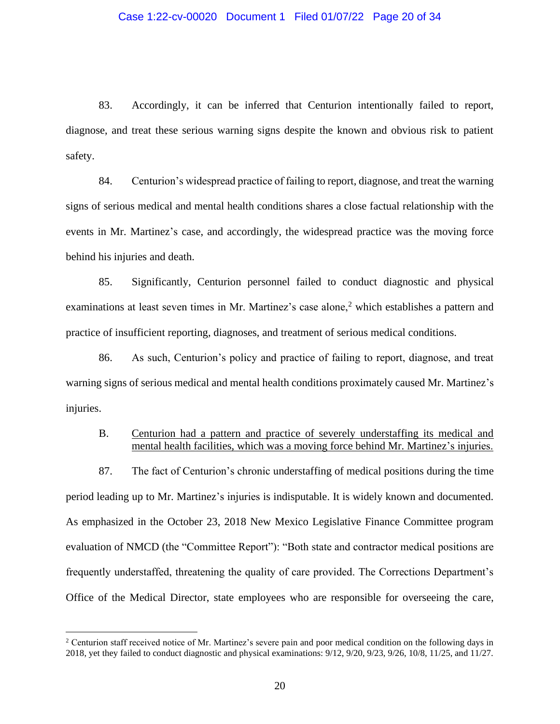# Case 1:22-cv-00020 Document 1 Filed 01/07/22 Page 20 of 34

83. Accordingly, it can be inferred that Centurion intentionally failed to report, diagnose, and treat these serious warning signs despite the known and obvious risk to patient safety.

84. Centurion's widespread practice of failing to report, diagnose, and treat the warning signs of serious medical and mental health conditions shares a close factual relationship with the events in Mr. Martinez's case, and accordingly, the widespread practice was the moving force behind his injuries and death.

85. Significantly, Centurion personnel failed to conduct diagnostic and physical examinations at least seven times in Mr. Martinez's case alone,<sup>2</sup> which establishes a pattern and practice of insufficient reporting, diagnoses, and treatment of serious medical conditions.

86. As such, Centurion's policy and practice of failing to report, diagnose, and treat warning signs of serious medical and mental health conditions proximately caused Mr. Martinez's injuries.

# B. Centurion had a pattern and practice of severely understaffing its medical and mental health facilities, which was a moving force behind Mr. Martinez's injuries.

87. The fact of Centurion's chronic understaffing of medical positions during the time period leading up to Mr. Martinez's injuries is indisputable. It is widely known and documented. As emphasized in the October 23, 2018 New Mexico Legislative Finance Committee program evaluation of NMCD (the "Committee Report"): "Both state and contractor medical positions are frequently understaffed, threatening the quality of care provided. The Corrections Department's Office of the Medical Director, state employees who are responsible for overseeing the care,

<sup>&</sup>lt;sup>2</sup> Centurion staff received notice of Mr. Martinez's severe pain and poor medical condition on the following days in 2018, yet they failed to conduct diagnostic and physical examinations: 9/12, 9/20, 9/23, 9/26, 10/8, 11/25, and 11/27.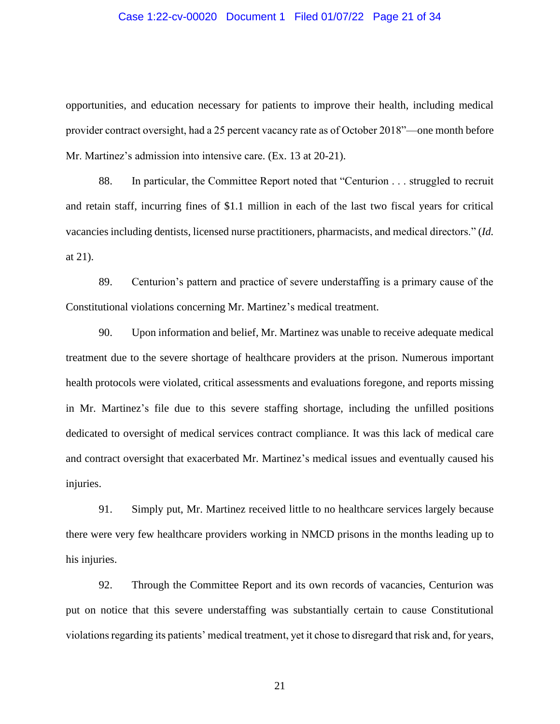# Case 1:22-cv-00020 Document 1 Filed 01/07/22 Page 21 of 34

opportunities, and education necessary for patients to improve their health, including medical provider contract oversight, had a 25 percent vacancy rate as of October 2018"—one month before Mr. Martinez's admission into intensive care. (Ex. 13 at 20-21).

88. In particular, the Committee Report noted that "Centurion . . . struggled to recruit and retain staff, incurring fines of \$1.1 million in each of the last two fiscal years for critical vacancies including dentists, licensed nurse practitioners, pharmacists, and medical directors." (*Id.* at 21).

89. Centurion's pattern and practice of severe understaffing is a primary cause of the Constitutional violations concerning Mr. Martinez's medical treatment.

90. Upon information and belief, Mr. Martinez was unable to receive adequate medical treatment due to the severe shortage of healthcare providers at the prison. Numerous important health protocols were violated, critical assessments and evaluations foregone, and reports missing in Mr. Martinez's file due to this severe staffing shortage, including the unfilled positions dedicated to oversight of medical services contract compliance. It was this lack of medical care and contract oversight that exacerbated Mr. Martinez's medical issues and eventually caused his injuries.

91. Simply put, Mr. Martinez received little to no healthcare services largely because there were very few healthcare providers working in NMCD prisons in the months leading up to his injuries.

92. Through the Committee Report and its own records of vacancies, Centurion was put on notice that this severe understaffing was substantially certain to cause Constitutional violations regarding its patients' medical treatment, yet it chose to disregard that risk and, for years,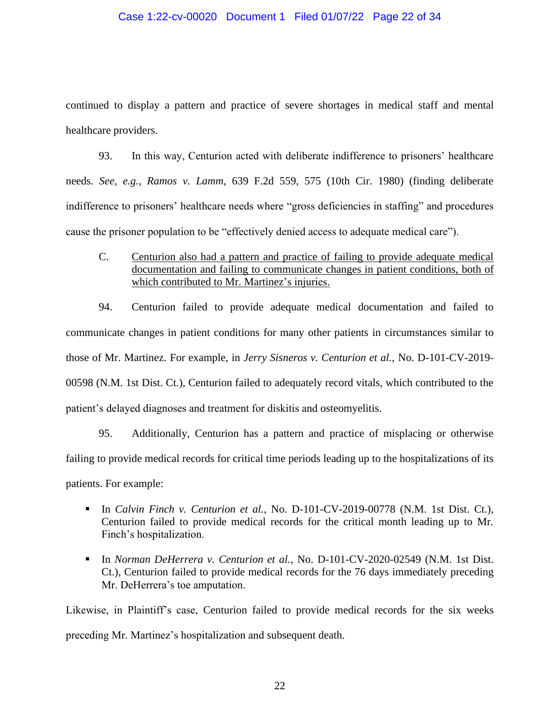# Case 1:22-cv-00020 Document 1 Filed 01/07/22 Page 22 of 34

continued to display a pattern and practice of severe shortages in medical staff and mental healthcare providers.

93. In this way, Centurion acted with deliberate indifference to prisoners' healthcare needs. *See, e.g., Ramos v. Lamm*, 639 F.2d 559, 575 (10th Cir. 1980) (finding deliberate indifference to prisoners' healthcare needs where "gross deficiencies in staffing" and procedures cause the prisoner population to be "effectively denied access to adequate medical care").

C. Centurion also had a pattern and practice of failing to provide adequate medical documentation and failing to communicate changes in patient conditions, both of which contributed to Mr. Martinez's injuries.

94. Centurion failed to provide adequate medical documentation and failed to communicate changes in patient conditions for many other patients in circumstances similar to those of Mr. Martinez. For example, in *Jerry Sisneros v. Centurion et al.*, No. D-101-CV-2019- 00598 (N.M. 1st Dist. Ct.), Centurion failed to adequately record vitals, which contributed to the patient's delayed diagnoses and treatment for diskitis and osteomyelitis.

95. Additionally, Centurion has a pattern and practice of misplacing or otherwise failing to provide medical records for critical time periods leading up to the hospitalizations of its patients. For example:

- In *Calvin Finch v. Centurion et al.*, No. D-101-CV-2019-00778 (N.M. 1st Dist. Ct.), Centurion failed to provide medical records for the critical month leading up to Mr. Finch's hospitalization.
- In *Norman DeHerrera v. Centurion et al.*, No. D-101-CV-2020-02549 (N.M. 1st Dist. Ct.), Centurion failed to provide medical records for the 76 days immediately preceding Mr. DeHerrera's toe amputation.

Likewise, in Plaintiff's case, Centurion failed to provide medical records for the six weeks preceding Mr. Martinez's hospitalization and subsequent death.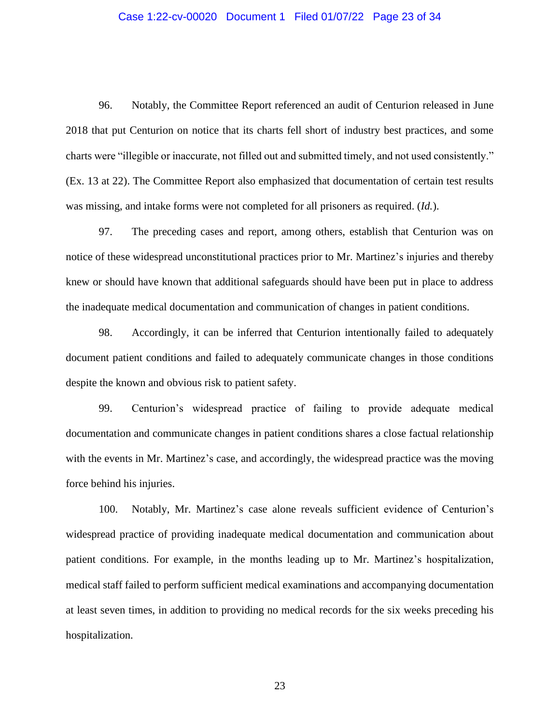## Case 1:22-cv-00020 Document 1 Filed 01/07/22 Page 23 of 34

96. Notably, the Committee Report referenced an audit of Centurion released in June 2018 that put Centurion on notice that its charts fell short of industry best practices, and some charts were "illegible or inaccurate, not filled out and submitted timely, and not used consistently." (Ex. 13 at 22). The Committee Report also emphasized that documentation of certain test results was missing, and intake forms were not completed for all prisoners as required. (*Id.*).

97. The preceding cases and report, among others, establish that Centurion was on notice of these widespread unconstitutional practices prior to Mr. Martinez's injuries and thereby knew or should have known that additional safeguards should have been put in place to address the inadequate medical documentation and communication of changes in patient conditions.

98. Accordingly, it can be inferred that Centurion intentionally failed to adequately document patient conditions and failed to adequately communicate changes in those conditions despite the known and obvious risk to patient safety.

99. Centurion's widespread practice of failing to provide adequate medical documentation and communicate changes in patient conditions shares a close factual relationship with the events in Mr. Martinez's case, and accordingly, the widespread practice was the moving force behind his injuries.

100. Notably, Mr. Martinez's case alone reveals sufficient evidence of Centurion's widespread practice of providing inadequate medical documentation and communication about patient conditions. For example, in the months leading up to Mr. Martinez's hospitalization, medical staff failed to perform sufficient medical examinations and accompanying documentation at least seven times, in addition to providing no medical records for the six weeks preceding his hospitalization.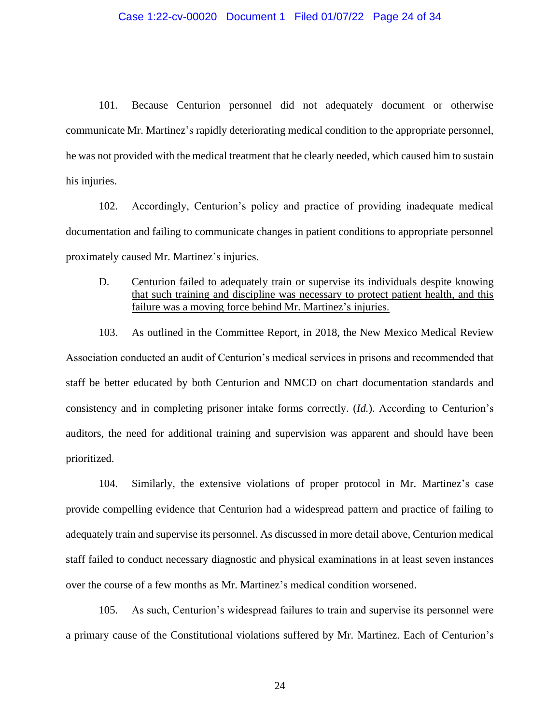## Case 1:22-cv-00020 Document 1 Filed 01/07/22 Page 24 of 34

101. Because Centurion personnel did not adequately document or otherwise communicate Mr. Martinez's rapidly deteriorating medical condition to the appropriate personnel, he was not provided with the medical treatment that he clearly needed, which caused him to sustain his injuries.

102. Accordingly, Centurion's policy and practice of providing inadequate medical documentation and failing to communicate changes in patient conditions to appropriate personnel proximately caused Mr. Martinez's injuries.

D. Centurion failed to adequately train or supervise its individuals despite knowing that such training and discipline was necessary to protect patient health, and this failure was a moving force behind Mr. Martinez's injuries.

103. As outlined in the Committee Report, in 2018, the New Mexico Medical Review Association conducted an audit of Centurion's medical services in prisons and recommended that staff be better educated by both Centurion and NMCD on chart documentation standards and consistency and in completing prisoner intake forms correctly. (*Id.*). According to Centurion's auditors, the need for additional training and supervision was apparent and should have been prioritized.

104. Similarly, the extensive violations of proper protocol in Mr. Martinez's case provide compelling evidence that Centurion had a widespread pattern and practice of failing to adequately train and supervise its personnel. As discussed in more detail above, Centurion medical staff failed to conduct necessary diagnostic and physical examinations in at least seven instances over the course of a few months as Mr. Martinez's medical condition worsened.

105. As such, Centurion's widespread failures to train and supervise its personnel were a primary cause of the Constitutional violations suffered by Mr. Martinez. Each of Centurion's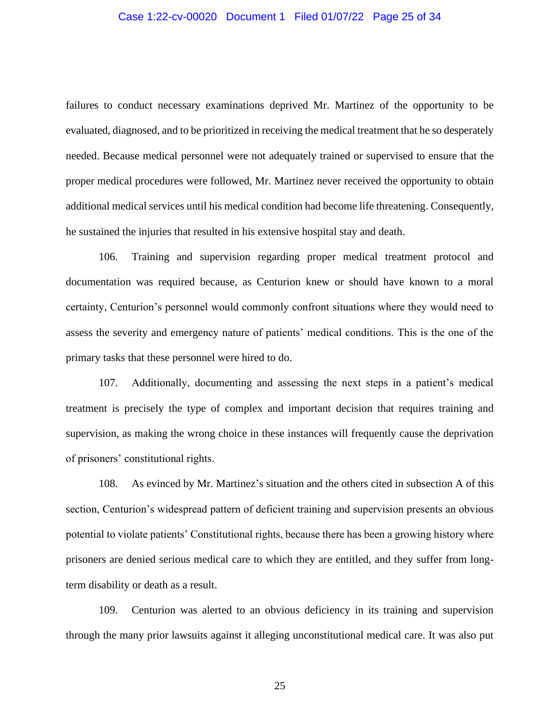# Case 1:22-cv-00020 Document 1 Filed 01/07/22 Page 25 of 34

failures to conduct necessary examinations deprived Mr. Martinez of the opportunity to be evaluated, diagnosed, and to be prioritized in receiving the medical treatment that he so desperately needed. Because medical personnel were not adequately trained or supervised to ensure that the proper medical procedures were followed, Mr. Martinez never received the opportunity to obtain additional medical services until his medical condition had become life threatening. Consequently, he sustained the injuries that resulted in his extensive hospital stay and death.

106. Training and supervision regarding proper medical treatment protocol and documentation was required because, as Centurion knew or should have known to a moral certainty, Centurion's personnel would commonly confront situations where they would need to assess the severity and emergency nature of patients' medical conditions. This is the one of the primary tasks that these personnel were hired to do.

107. Additionally, documenting and assessing the next steps in a patient's medical treatment is precisely the type of complex and important decision that requires training and supervision, as making the wrong choice in these instances will frequently cause the deprivation of prisoners' constitutional rights.

108. As evinced by Mr. Martinez's situation and the others cited in subsection A of this section, Centurion's widespread pattern of deficient training and supervision presents an obvious potential to violate patients' Constitutional rights, because there has been a growing history where prisoners are denied serious medical care to which they are entitled, and they suffer from longterm disability or death as a result.

109. Centurion was alerted to an obvious deficiency in its training and supervision through the many prior lawsuits against it alleging unconstitutional medical care. It was also put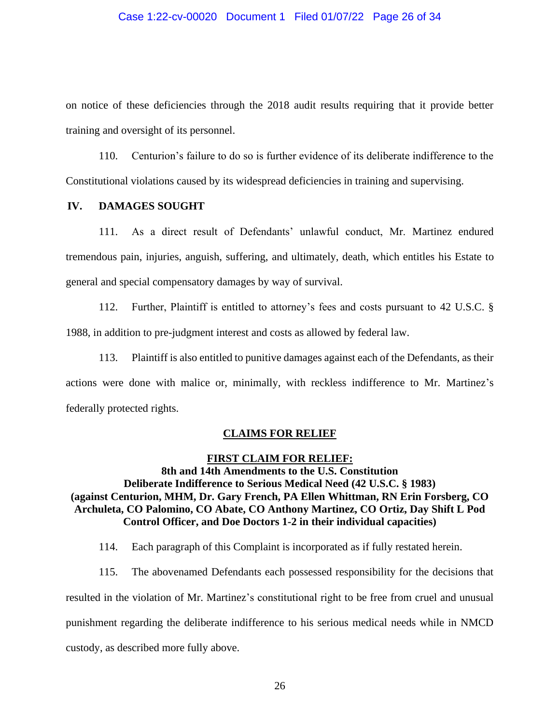### Case 1:22-cv-00020 Document 1 Filed 01/07/22 Page 26 of 34

on notice of these deficiencies through the 2018 audit results requiring that it provide better training and oversight of its personnel.

110. Centurion's failure to do so is further evidence of its deliberate indifference to the Constitutional violations caused by its widespread deficiencies in training and supervising.

# **IV. DAMAGES SOUGHT**

111. As a direct result of Defendants' unlawful conduct, Mr. Martinez endured tremendous pain, injuries, anguish, suffering, and ultimately, death, which entitles his Estate to general and special compensatory damages by way of survival.

112. Further, Plaintiff is entitled to attorney's fees and costs pursuant to 42 U.S.C. § 1988, in addition to pre-judgment interest and costs as allowed by federal law.

113. Plaintiff is also entitled to punitive damages against each of the Defendants, as their actions were done with malice or, minimally, with reckless indifference to Mr. Martinez's federally protected rights.

# **CLAIMS FOR RELIEF**

### **FIRST CLAIM FOR RELIEF:**

**8th and 14th Amendments to the U.S. Constitution Deliberate Indifference to Serious Medical Need (42 U.S.C. § 1983) (against Centurion, MHM, Dr. Gary French, PA Ellen Whittman, RN Erin Forsberg, CO Archuleta, CO Palomino, CO Abate, CO Anthony Martinez, CO Ortiz, Day Shift L Pod Control Officer, and Doe Doctors 1-2 in their individual capacities)**

- 114. Each paragraph of this Complaint is incorporated as if fully restated herein.
- 115. The abovenamed Defendants each possessed responsibility for the decisions that resulted in the violation of Mr. Martinez's constitutional right to be free from cruel and unusual punishment regarding the deliberate indifference to his serious medical needs while in NMCD custody, as described more fully above.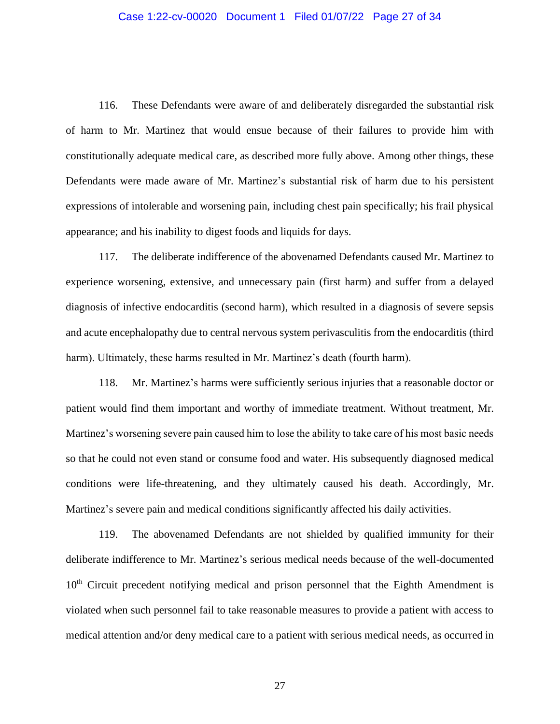## Case 1:22-cv-00020 Document 1 Filed 01/07/22 Page 27 of 34

116. These Defendants were aware of and deliberately disregarded the substantial risk of harm to Mr. Martinez that would ensue because of their failures to provide him with constitutionally adequate medical care, as described more fully above. Among other things, these Defendants were made aware of Mr. Martinez's substantial risk of harm due to his persistent expressions of intolerable and worsening pain, including chest pain specifically; his frail physical appearance; and his inability to digest foods and liquids for days.

117. The deliberate indifference of the abovenamed Defendants caused Mr. Martinez to experience worsening, extensive, and unnecessary pain (first harm) and suffer from a delayed diagnosis of infective endocarditis (second harm), which resulted in a diagnosis of severe sepsis and acute encephalopathy due to central nervous system perivasculitis from the endocarditis (third harm). Ultimately, these harms resulted in Mr. Martinez's death (fourth harm).

118. Mr. Martinez's harms were sufficiently serious injuries that a reasonable doctor or patient would find them important and worthy of immediate treatment. Without treatment, Mr. Martinez's worsening severe pain caused him to lose the ability to take care of his most basic needs so that he could not even stand or consume food and water. His subsequently diagnosed medical conditions were life-threatening, and they ultimately caused his death. Accordingly, Mr. Martinez's severe pain and medical conditions significantly affected his daily activities.

119. The abovenamed Defendants are not shielded by qualified immunity for their deliberate indifference to Mr. Martinez's serious medical needs because of the well-documented 10<sup>th</sup> Circuit precedent notifying medical and prison personnel that the Eighth Amendment is violated when such personnel fail to take reasonable measures to provide a patient with access to medical attention and/or deny medical care to a patient with serious medical needs, as occurred in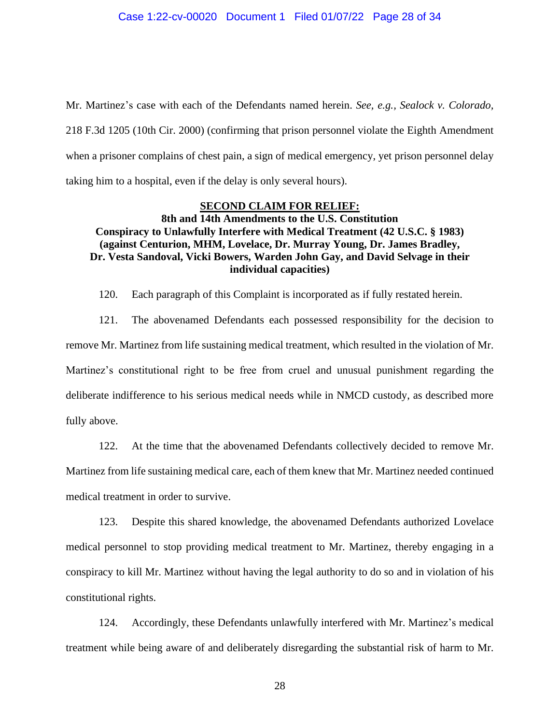Mr. Martinez's case with each of the Defendants named herein. *See, e.g., Sealock v. Colorado,* 218 F.3d 1205 (10th Cir. 2000) (confirming that prison personnel violate the Eighth Amendment when a prisoner complains of chest pain, a sign of medical emergency, yet prison personnel delay taking him to a hospital, even if the delay is only several hours).

# **SECOND CLAIM FOR RELIEF:**

# **8th and 14th Amendments to the U.S. Constitution Conspiracy to Unlawfully Interfere with Medical Treatment (42 U.S.C. § 1983) (against Centurion, MHM, Lovelace, Dr. Murray Young, Dr. James Bradley, Dr. Vesta Sandoval, Vicki Bowers, Warden John Gay, and David Selvage in their individual capacities)**

120. Each paragraph of this Complaint is incorporated as if fully restated herein.

121. The abovenamed Defendants each possessed responsibility for the decision to remove Mr. Martinez from life sustaining medical treatment, which resulted in the violation of Mr. Martinez's constitutional right to be free from cruel and unusual punishment regarding the deliberate indifference to his serious medical needs while in NMCD custody, as described more fully above.

122. At the time that the abovenamed Defendants collectively decided to remove Mr.

Martinez from life sustaining medical care, each of them knew that Mr. Martinez needed continued medical treatment in order to survive.

123. Despite this shared knowledge, the abovenamed Defendants authorized Lovelace medical personnel to stop providing medical treatment to Mr. Martinez, thereby engaging in a conspiracy to kill Mr. Martinez without having the legal authority to do so and in violation of his constitutional rights.

124. Accordingly, these Defendants unlawfully interfered with Mr. Martinez's medical treatment while being aware of and deliberately disregarding the substantial risk of harm to Mr.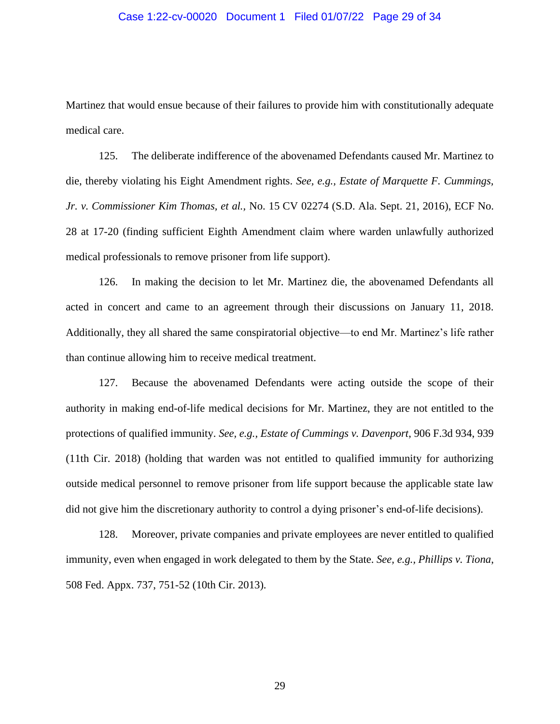## Case 1:22-cv-00020 Document 1 Filed 01/07/22 Page 29 of 34

Martinez that would ensue because of their failures to provide him with constitutionally adequate medical care.

125. The deliberate indifference of the abovenamed Defendants caused Mr. Martinez to die, thereby violating his Eight Amendment rights. *See, e.g., Estate of Marquette F. Cummings, Jr. v. Commissioner Kim Thomas, et al.,* No. 15 CV 02274 (S.D. Ala. Sept. 21, 2016), ECF No. 28 at 17-20 (finding sufficient Eighth Amendment claim where warden unlawfully authorized medical professionals to remove prisoner from life support).

126. In making the decision to let Mr. Martinez die, the abovenamed Defendants all acted in concert and came to an agreement through their discussions on January 11, 2018. Additionally, they all shared the same conspiratorial objective—to end Mr. Martinez's life rather than continue allowing him to receive medical treatment.

127. Because the abovenamed Defendants were acting outside the scope of their authority in making end-of-life medical decisions for Mr. Martinez, they are not entitled to the protections of qualified immunity. *See, e.g., Estate of Cummings v. Davenport*, 906 F.3d 934, 939 (11th Cir. 2018) (holding that warden was not entitled to qualified immunity for authorizing outside medical personnel to remove prisoner from life support because the applicable state law did not give him the discretionary authority to control a dying prisoner's end-of-life decisions).

128. Moreover, private companies and private employees are never entitled to qualified immunity, even when engaged in work delegated to them by the State. *See, e.g., Phillips v. Tiona*, 508 Fed. Appx. 737, 751-52 (10th Cir. 2013).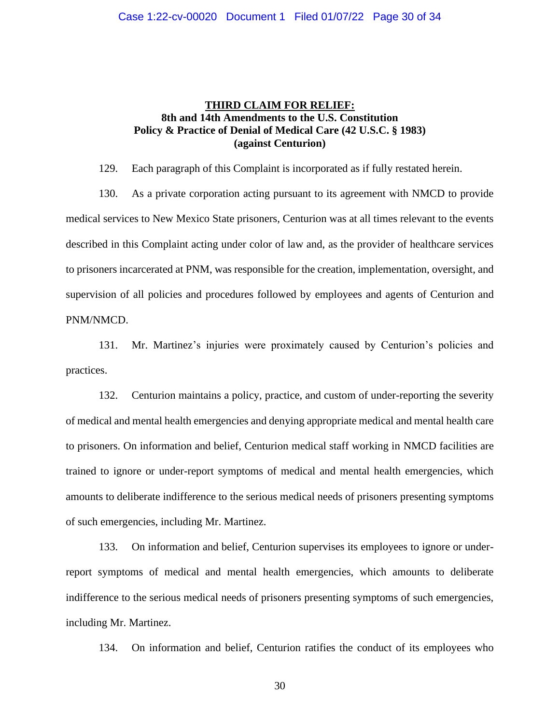# **THIRD CLAIM FOR RELIEF: 8th and 14th Amendments to the U.S. Constitution Policy & Practice of Denial of Medical Care (42 U.S.C. § 1983) (against Centurion)**

129. Each paragraph of this Complaint is incorporated as if fully restated herein.

130. As a private corporation acting pursuant to its agreement with NMCD to provide medical services to New Mexico State prisoners, Centurion was at all times relevant to the events described in this Complaint acting under color of law and, as the provider of healthcare services to prisoners incarcerated at PNM, was responsible for the creation, implementation, oversight, and supervision of all policies and procedures followed by employees and agents of Centurion and PNM/NMCD.

131. Mr. Martinez's injuries were proximately caused by Centurion's policies and practices.

132. Centurion maintains a policy, practice, and custom of under-reporting the severity of medical and mental health emergencies and denying appropriate medical and mental health care to prisoners. On information and belief, Centurion medical staff working in NMCD facilities are trained to ignore or under-report symptoms of medical and mental health emergencies, which amounts to deliberate indifference to the serious medical needs of prisoners presenting symptoms of such emergencies, including Mr. Martinez.

133. On information and belief, Centurion supervises its employees to ignore or underreport symptoms of medical and mental health emergencies, which amounts to deliberate indifference to the serious medical needs of prisoners presenting symptoms of such emergencies, including Mr. Martinez.

134. On information and belief, Centurion ratifies the conduct of its employees who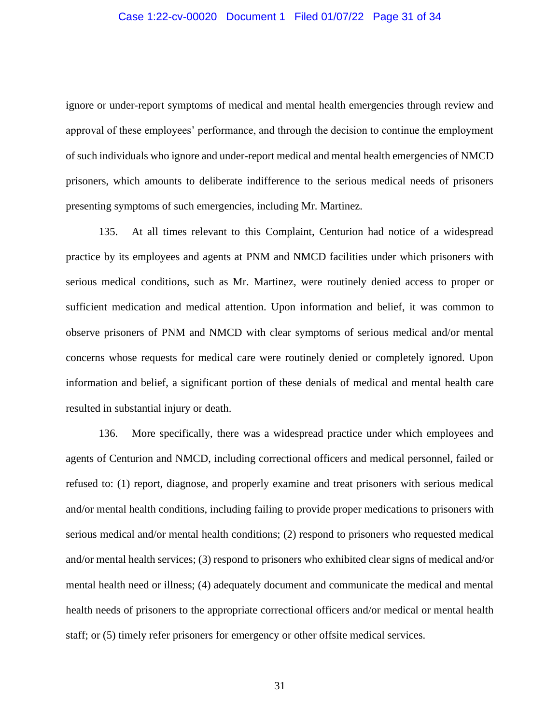# Case 1:22-cv-00020 Document 1 Filed 01/07/22 Page 31 of 34

ignore or under-report symptoms of medical and mental health emergencies through review and approval of these employees' performance, and through the decision to continue the employment of such individuals who ignore and under-report medical and mental health emergencies of NMCD prisoners, which amounts to deliberate indifference to the serious medical needs of prisoners presenting symptoms of such emergencies, including Mr. Martinez.

135. At all times relevant to this Complaint, Centurion had notice of a widespread practice by its employees and agents at PNM and NMCD facilities under which prisoners with serious medical conditions, such as Mr. Martinez, were routinely denied access to proper or sufficient medication and medical attention. Upon information and belief, it was common to observe prisoners of PNM and NMCD with clear symptoms of serious medical and/or mental concerns whose requests for medical care were routinely denied or completely ignored. Upon information and belief, a significant portion of these denials of medical and mental health care resulted in substantial injury or death.

136. More specifically, there was a widespread practice under which employees and agents of Centurion and NMCD, including correctional officers and medical personnel, failed or refused to: (1) report, diagnose, and properly examine and treat prisoners with serious medical and/or mental health conditions, including failing to provide proper medications to prisoners with serious medical and/or mental health conditions; (2) respond to prisoners who requested medical and/or mental health services; (3) respond to prisoners who exhibited clear signs of medical and/or mental health need or illness; (4) adequately document and communicate the medical and mental health needs of prisoners to the appropriate correctional officers and/or medical or mental health staff; or (5) timely refer prisoners for emergency or other offsite medical services.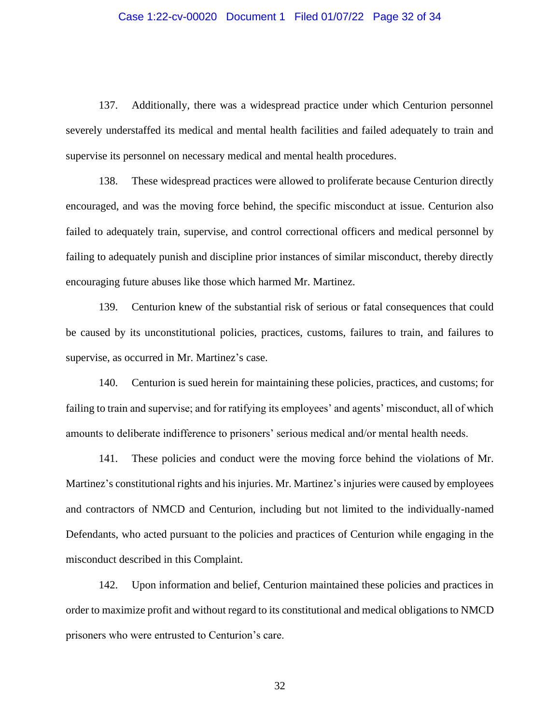## Case 1:22-cv-00020 Document 1 Filed 01/07/22 Page 32 of 34

137. Additionally, there was a widespread practice under which Centurion personnel severely understaffed its medical and mental health facilities and failed adequately to train and supervise its personnel on necessary medical and mental health procedures.

138. These widespread practices were allowed to proliferate because Centurion directly encouraged, and was the moving force behind, the specific misconduct at issue. Centurion also failed to adequately train, supervise, and control correctional officers and medical personnel by failing to adequately punish and discipline prior instances of similar misconduct, thereby directly encouraging future abuses like those which harmed Mr. Martinez.

139. Centurion knew of the substantial risk of serious or fatal consequences that could be caused by its unconstitutional policies, practices, customs, failures to train, and failures to supervise, as occurred in Mr. Martinez's case.

140. Centurion is sued herein for maintaining these policies, practices, and customs; for failing to train and supervise; and for ratifying its employees' and agents' misconduct, all of which amounts to deliberate indifference to prisoners' serious medical and/or mental health needs.

141. These policies and conduct were the moving force behind the violations of Mr. Martinez's constitutional rights and his injuries. Mr. Martinez's injuries were caused by employees and contractors of NMCD and Centurion, including but not limited to the individually-named Defendants, who acted pursuant to the policies and practices of Centurion while engaging in the misconduct described in this Complaint.

142. Upon information and belief, Centurion maintained these policies and practices in order to maximize profit and without regard to its constitutional and medical obligations to NMCD prisoners who were entrusted to Centurion's care.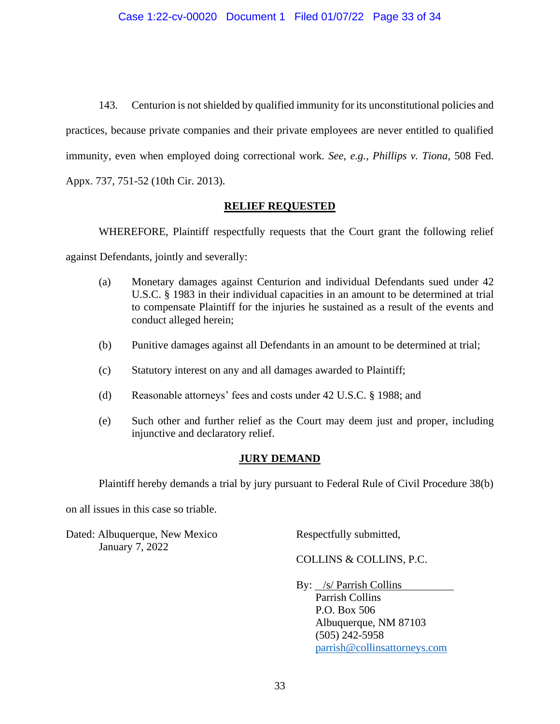143. Centurion is not shielded by qualified immunity for its unconstitutional policies and practices, because private companies and their private employees are never entitled to qualified immunity, even when employed doing correctional work. *See, e.g., Phillips v. Tiona*, 508 Fed. Appx. 737, 751-52 (10th Cir. 2013).

# **RELIEF REQUESTED**

WHEREFORE, Plaintiff respectfully requests that the Court grant the following relief

against Defendants, jointly and severally:

- (a) Monetary damages against Centurion and individual Defendants sued under 42 U.S.C. § 1983 in their individual capacities in an amount to be determined at trial to compensate Plaintiff for the injuries he sustained as a result of the events and conduct alleged herein;
- (b) Punitive damages against all Defendants in an amount to be determined at trial;
- (c) Statutory interest on any and all damages awarded to Plaintiff;
- (d) Reasonable attorneys' fees and costs under 42 U.S.C. § 1988; and
- (e) Such other and further relief as the Court may deem just and proper, including injunctive and declaratory relief.

# **JURY DEMAND**

Plaintiff hereby demands a trial by jury pursuant to Federal Rule of Civil Procedure 38(b)

on all issues in this case so triable.

Dated: Albuquerque, New Mexico Respectfully submitted, January 7, 2022

COLLINS & COLLINS, P.C.

By: /s/ Parrish Collins Parrish Collins P.O. Box 506 Albuquerque, NM 87103 (505) 242-5958 [parrish@collinsattorneys.com](mailto:parrish@collinsattorneys.com)